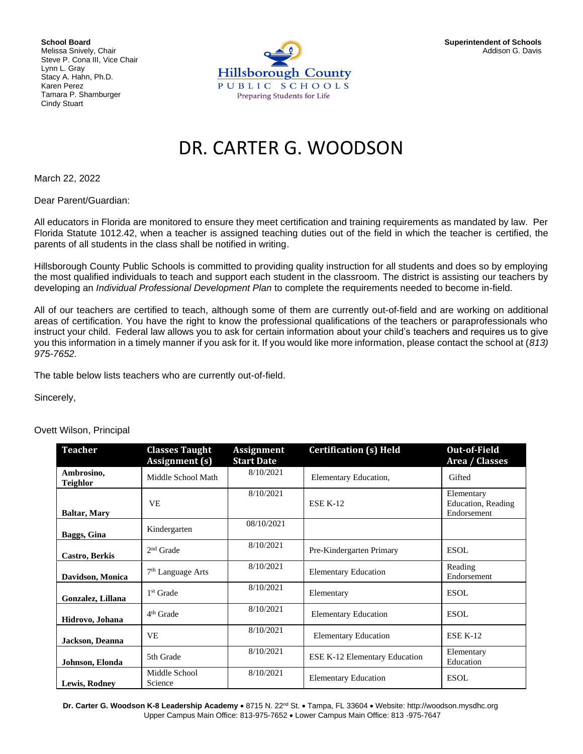**School Board** Melissa Snively, Chair Steve P. Cona III, Vice Chair Lynn L. Gray Stacy A. Hahn, Ph.D. Karen Perez Tamara P. Shamburger Cindy Stuart



## DR. CARTER G. WOODSON

March 22, 2022

Dear Parent/Guardian:

All educators in Florida are monitored to ensure they meet certification and training requirements as mandated by law. Per Florida Statute 1012.42, when a teacher is assigned teaching duties out of the field in which the teacher is certified, the parents of all students in the class shall be notified in writing.

Hillsborough County Public Schools is committed to providing quality instruction for all students and does so by employing the most qualified individuals to teach and support each student in the classroom. The district is assisting our teachers by developing an *Individual Professional Development Plan* to complete the requirements needed to become in-field.

All of our teachers are certified to teach, although some of them are currently out-of-field and are working on additional areas of certification. You have the right to know the professional qualifications of the teachers or paraprofessionals who instruct your child. Federal law allows you to ask for certain information about your child's teachers and requires us to give you this information in a timely manner if you ask for it. If you would like more information, please contact the school at (*813) 975-7652.* 

The table below lists teachers who are currently out-of-field.

Sincerely,

Ovett Wilson, Principal

| <b>Teacher</b>                | <b>Classes Taught</b><br><b>Assignment</b> (s) | <b>Assignment</b><br><b>Start Date</b> | <b>Certification (s) Held</b>        | <b>Out-of-Field</b><br>Area / Classes           |
|-------------------------------|------------------------------------------------|----------------------------------------|--------------------------------------|-------------------------------------------------|
| Ambrosino,<br><b>Teighlor</b> | Middle School Math                             | 8/10/2021                              | Elementary Education,                | Gifted                                          |
| <b>Baltar, Mary</b>           | VE.                                            | 8/10/2021                              | <b>ESE K-12</b>                      | Elementary<br>Education, Reading<br>Endorsement |
| Baggs, Gina                   | Kindergarten                                   | 08/10/2021                             |                                      |                                                 |
| Castro, Berkis                | $2nd$ Grade                                    | 8/10/2021                              | Pre-Kindergarten Primary             | ESOL                                            |
| Davidson, Monica              | $7th$ Language Arts                            | 8/10/2021                              | <b>Elementary Education</b>          | Reading<br>Endorsement                          |
| Gonzalez, Lillana             | 1 <sup>st</sup> Grade                          | 8/10/2021                              | Elementary                           | ESOL.                                           |
| Hidrovo, Johana               | 4 <sup>th</sup> Grade                          | 8/10/2021                              | <b>Elementary Education</b>          | <b>ESOL</b>                                     |
| Jackson, Deanna               | <b>VE</b>                                      | 8/10/2021                              | <b>Elementary Education</b>          | <b>ESE K-12</b>                                 |
| Johnson, Elonda               | 5th Grade                                      | 8/10/2021                              | <b>ESE K-12 Elementary Education</b> | Elementary<br>Education                         |
| <b>Lewis, Rodney</b>          | Middle School<br>Science                       | 8/10/2021                              | <b>Elementary Education</b>          | <b>ESOL</b>                                     |

**Dr. Carter G. Woodson K-8 Leadership Academy** • 8715 N. 22nd St. • Tampa, FL 33604 • Website: http://woodson.mysdhc.org Upper Campus Main Office: 813-975-7652 • Lower Campus Main Office: 813 -975-7647